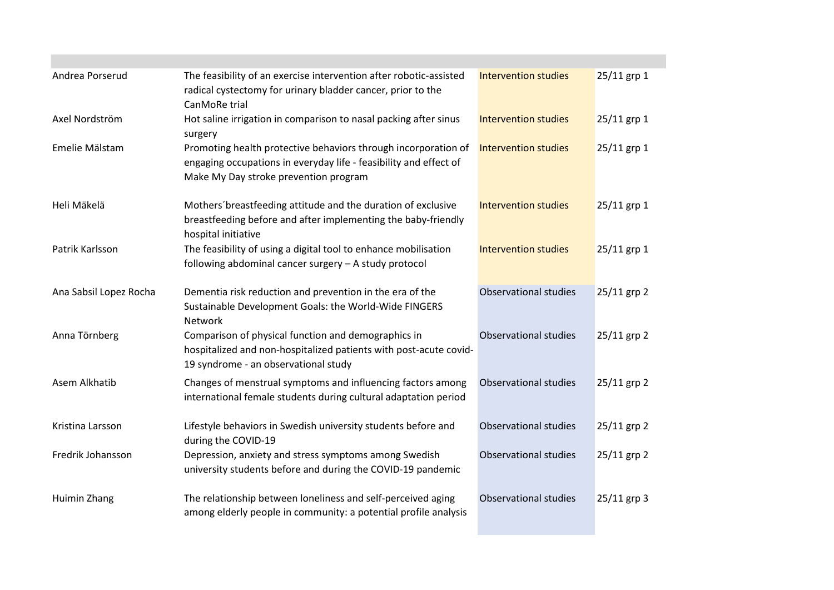| Andrea Porserud        | The feasibility of an exercise intervention after robotic-assisted<br>radical cystectomy for urinary bladder cancer, prior to the<br>CanMoRe trial                           | <b>Intervention studies</b>  | 25/11 grp 1   |
|------------------------|------------------------------------------------------------------------------------------------------------------------------------------------------------------------------|------------------------------|---------------|
| Axel Nordström         | Hot saline irrigation in comparison to nasal packing after sinus<br>surgery                                                                                                  | <b>Intervention studies</b>  | 25/11 grp 1   |
| Emelie Mälstam         | Promoting health protective behaviors through incorporation of<br>engaging occupations in everyday life - feasibility and effect of<br>Make My Day stroke prevention program | <b>Intervention studies</b>  | 25/11 grp 1   |
| Heli Mäkelä            | Mothers' breastfeeding attitude and the duration of exclusive<br>breastfeeding before and after implementing the baby-friendly<br>hospital initiative                        | <b>Intervention studies</b>  | 25/11 grp 1   |
| Patrik Karlsson        | The feasibility of using a digital tool to enhance mobilisation<br>following abdominal cancer surgery - A study protocol                                                     | <b>Intervention studies</b>  | $25/11$ grp 1 |
| Ana Sabsil Lopez Rocha | Dementia risk reduction and prevention in the era of the<br>Sustainable Development Goals: the World-Wide FINGERS<br>Network                                                 | <b>Observational studies</b> | 25/11 grp 2   |
| Anna Törnberg          | Comparison of physical function and demographics in<br>hospitalized and non-hospitalized patients with post-acute covid-<br>19 syndrome - an observational study             | <b>Observational studies</b> | $25/11$ grp 2 |
| Asem Alkhatib          | Changes of menstrual symptoms and influencing factors among<br>international female students during cultural adaptation period                                               | <b>Observational studies</b> | 25/11 grp 2   |
| Kristina Larsson       | Lifestyle behaviors in Swedish university students before and<br>during the COVID-19                                                                                         | <b>Observational studies</b> | 25/11 grp 2   |
| Fredrik Johansson      | Depression, anxiety and stress symptoms among Swedish<br>university students before and during the COVID-19 pandemic                                                         | <b>Observational studies</b> | 25/11 grp 2   |
| Huimin Zhang           | The relationship between loneliness and self-perceived aging<br>among elderly people in community: a potential profile analysis                                              | <b>Observational studies</b> | 25/11 grp 3   |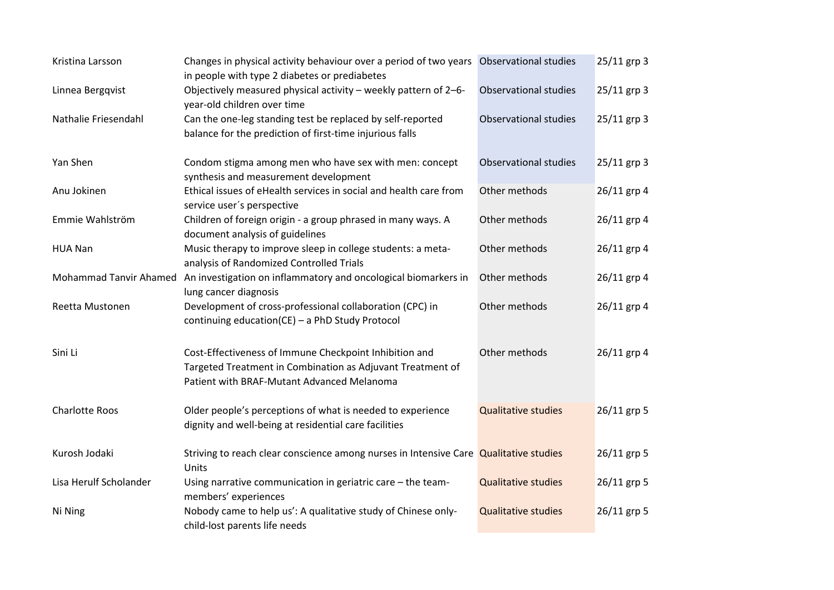| Kristina Larsson              | Changes in physical activity behaviour over a period of two years Observational studies<br>in people with type 2 diabetes or prediabetes                           |                              | 25/11 grp 3 |
|-------------------------------|--------------------------------------------------------------------------------------------------------------------------------------------------------------------|------------------------------|-------------|
| Linnea Bergqvist              | Objectively measured physical activity - weekly pattern of 2-6-<br>year-old children over time                                                                     | <b>Observational studies</b> | 25/11 grp 3 |
| Nathalie Friesendahl          | Can the one-leg standing test be replaced by self-reported<br>balance for the prediction of first-time injurious falls                                             | <b>Observational studies</b> | 25/11 grp 3 |
| Yan Shen                      | Condom stigma among men who have sex with men: concept<br>synthesis and measurement development                                                                    | <b>Observational studies</b> | 25/11 grp 3 |
| Anu Jokinen                   | Ethical issues of eHealth services in social and health care from<br>service user's perspective                                                                    | Other methods                | 26/11 grp 4 |
| Emmie Wahlström               | Children of foreign origin - a group phrased in many ways. A<br>document analysis of guidelines                                                                    | Other methods                | 26/11 grp 4 |
| <b>HUA Nan</b>                | Music therapy to improve sleep in college students: a meta-<br>analysis of Randomized Controlled Trials                                                            | Other methods                | 26/11 grp 4 |
| <b>Mohammad Tanvir Ahamed</b> | An investigation on inflammatory and oncological biomarkers in<br>lung cancer diagnosis                                                                            | Other methods                | 26/11 grp 4 |
| Reetta Mustonen               | Development of cross-professional collaboration (CPC) in<br>continuing education(CE) - a PhD Study Protocol                                                        | Other methods                | 26/11 grp 4 |
| Sini Li                       | Cost-Effectiveness of Immune Checkpoint Inhibition and<br>Targeted Treatment in Combination as Adjuvant Treatment of<br>Patient with BRAF-Mutant Advanced Melanoma | Other methods                | 26/11 grp 4 |
| <b>Charlotte Roos</b>         | Older people's perceptions of what is needed to experience<br>dignity and well-being at residential care facilities                                                | <b>Qualitative studies</b>   | 26/11 grp 5 |
| Kurosh Jodaki                 | Striving to reach clear conscience among nurses in Intensive Care Qualitative studies<br>Units                                                                     |                              | 26/11 grp 5 |
| Lisa Herulf Scholander        | Using narrative communication in geriatric care - the team-<br>members' experiences                                                                                | <b>Qualitative studies</b>   | 26/11 grp 5 |
| Ni Ning                       | Nobody came to help us': A qualitative study of Chinese only-<br>child-lost parents life needs                                                                     | <b>Qualitative studies</b>   | 26/11 grp 5 |